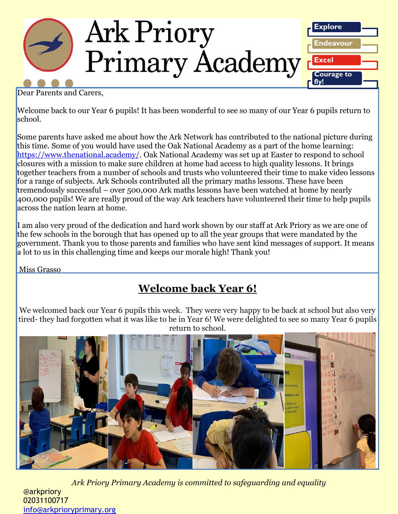

Dear Parents and Carers,

Welcome back to our Year 6 pupils! It has been wonderful to see so many of our Year 6 pupils return to school.

Some parents have asked me about how the Ark Network has contributed to the national picture during this time. Some of you would have used the Oak National Academy as a part of the home learning: [https://www.thenational.academy/.](https://www.thenational.academy/) Oak National Academy was set up at Easter to respond to school closures with a mission to make sure children at home had access to high quality lessons. It brings together teachers from a number of schools and trusts who volunteered their time to make video lessons for a range of subjects. Ark Schools contributed all the primary maths lessons. These have been tremendously successful – over 500,000 Ark maths lessons have been watched at home by nearly 400,000 pupils! We are really proud of the way Ark teachers have volunteered their time to help pupils across the nation learn at home.

I am also very proud of the dedication and hard work shown by our staff at Ark Priory as we are one of the few schools in the borough that has opened up to all the year groups that were mandated by the government. Thank you to those parents and families who have sent kind messages of support. It means a lot to us in this challenging time and keeps our morale high! Thank you!

Miss Grasso

## **Welcome back Year 6!**

We welcomed back our Year 6 pupils this week. They were very happy to be back at school but also very tired- they had forgotten what it was like to be in Year 6! We were delighted to see so many Year 6 pupils return to school.



*Ark Priory Primary Academy is committed to safeguarding and equality*  @arkpriory 02031100717 [info@arkprioryprimary.org](mailto:info@arkprioryprimary.org)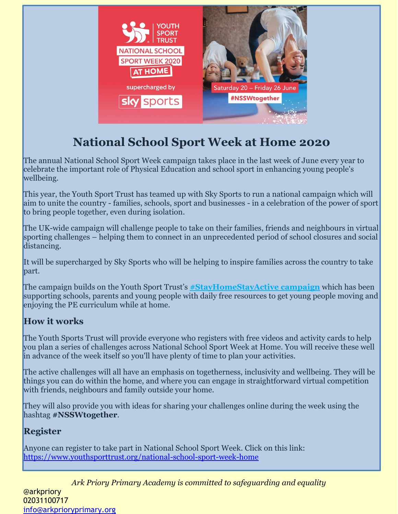

## **National School Sport Week at Home 2020**

The annual National School Sport Week campaign takes place in the last week of June every year to celebrate the important role of Physical Education and school sport in enhancing young people's wellbeing.

This year, the Youth Sport Trust has teamed up with Sky Sports to run a national campaign which will aim to unite the country - families, schools, sport and businesses - in a celebration of the power of sport to bring people together, even during isolation.

The UK-wide campaign will challenge people to take on their families, friends and neighbours in virtual sporting challenges – helping them to connect in an unprecedented period of school closures and social distancing.

It will be supercharged by Sky Sports who will be helping to inspire families across the country to take part.

The campaign builds on the Youth Sport Trust's **[#StayHomeStayActive campaign](https://www.youthsporttrust.org/free-home-learning-resources-0)** which has been supporting schools, parents and young people with daily free resources to get young people moving and enjoying the PE curriculum while at home.

### **How it works**

The Youth Sports Trust will provide everyone who registers with free videos and activity cards to help you plan a series of challenges across National School Sport Week at Home. You will receive these well in advance of the week itself so you'll have plenty of time to plan your activities.

The active challenges will all have an emphasis on togetherness, inclusivity and wellbeing. They will be things you can do within the home, and where you can engage in straightforward virtual competition with friends, neighbours and family outside your home.

They will also provide you with ideas for sharing your challenges online during the week using the hashtag **#NSSWtogether**.

### **Register**

Anyone can register to take part in National School Sport Week. Click on this link: <https://www.youthsporttrust.org/national-school-sport-week-home>

*Ark Priory Primary Academy is committed to safeguarding and equality*  @arkpriory 02031100717 [info@arkprioryprimary.org](mailto:info@arkprioryprimary.org)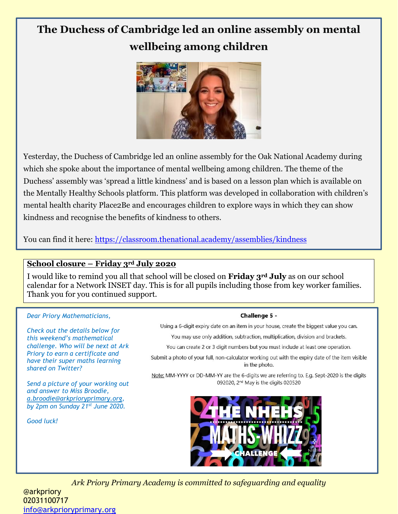## **The Duchess of Cambridge led an online assembly on mental wellbeing among children**



Yesterday, the Duchess of Cambridge led an online assembly for the Oak National Academy during which she spoke about the importance of mental wellbeing among children. The theme of the Duchess' assembly was 'spread a little kindness' and is based on a lesson plan which is available on the Mentally Healthy Schools platform. This platform was developed in collaboration with children's mental health charity Place2Be and encourages children to explore ways in which they can show kindness and recognise the benefits of kindness to others.

You can find it here: <https://classroom.thenational.academy/assemblies/kindness>

### **School closure – Friday 3rd July 2020**

I would like to remind you all that school will be closed on **Friday 3rd July** as on our school calendar for a Network INSET day. This is for all pupils including those from key worker families. Thank you for you continued support.

#### *Dear Priory Mathematicians,*

*Check out the details below for this weekend's mathematical challenge. Who will be next at Ark Priory to earn a certificate and have their super maths learning shared on Twitter?*

*Send a picture of your working out and answer to Miss Broodie, [a.broodie@arkprioryprimary.org,](mailto:a.broodie@arkprioryprimary.org) by 2pm on Sunday 21st June 2020.* 

*Good luck!*

#### Challenge 5 -

Using a 6-digit expiry date on an item in your house, create the biggest value you can.

You may use only addition, subtraction, multiplication, division and brackets.

You can create 2 or 3 digit numbers but you must include at least one operation.

Submit a photo of your full, non-calculator working out with the expiry date of the item visible in the photo.

Note: MM-YYYY or DD-MM-YY are the 6-digits we are referring to. E.g. Sept-2020 is the digits 092020, 2<sup>nd</sup> May is the digits 020520



*Ark Priory Primary Academy is committed to safeguarding and equality* 

@arkpriory 02031100717 [info@arkprioryprimary.org](mailto:info@arkprioryprimary.org)